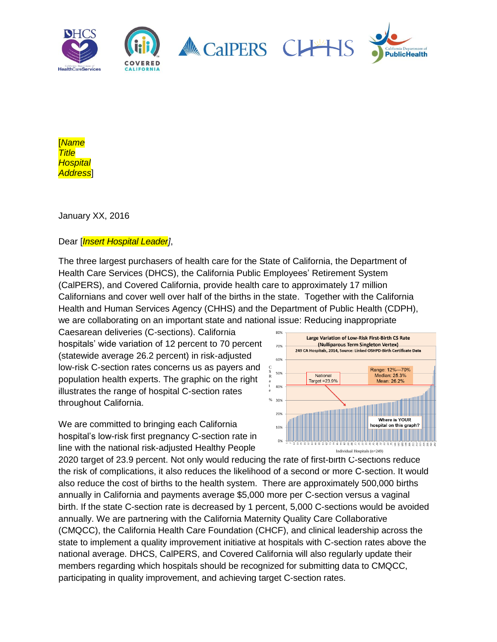

[*Name Title Hospital Address*]

January XX, 2016

Dear [*Insert Hospital Leader]*,

The three largest purchasers of health care for the State of California, the Department of Health Care Services (DHCS), the California Public Employees' Retirement System (CalPERS), and Covered California, provide health care to approximately 17 million Californians and cover well over half of the births in the state. Together with the California Health and Human Services Agency (CHHS) and the Department of Public Health (CDPH), we are collaborating on an important state and national issue: Reducing inappropriate

Caesarean deliveries (C-sections). California hospitals' wide variation of 12 percent to 70 percent (statewide average 26.2 percent) in risk-adjusted low-risk C-section rates concerns us as payers and population health experts. The graphic on the right illustrates the range of hospital C-section rates throughout California.

We are committed to bringing each California hospital's low-risk first pregnancy C-section rate in line with the national risk-adjusted Healthy People



2020 target of 23.9 percent. Not only would reducing the rate of first-birth C-sections reduce the risk of complications, it also reduces the likelihood of a second or more C-section. It would also reduce the cost of births to the health system. There are approximately 500,000 births annually in California and payments average \$5,000 more per C-section versus a vaginal birth. If the state C-section rate is decreased by 1 percent, 5,000 C-sections would be avoided annually. We are partnering with the California Maternity Quality Care Collaborative (CMQCC), the California Health Care Foundation (CHCF), and clinical leadership across the state to implement a quality improvement initiative at hospitals with C-section rates above the national average. DHCS, CalPERS, and Covered California will also regularly update their members regarding which hospitals should be recognized for submitting data to CMQCC, participating in quality improvement, and achieving target C-section rates.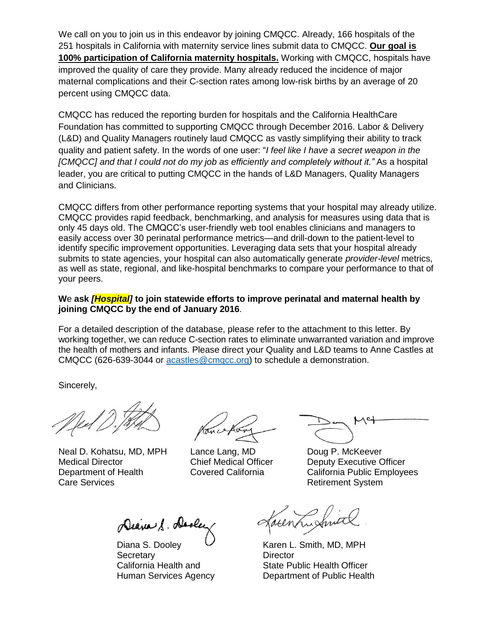We call on you to join us in this endeavor by joining CMQCC. Already, 166 hospitals of the 251 hospitals in California with maternity service lines submit data to CMQCC. **Our goal is 100% participation of California maternity hospitals.** Working with CMQCC, hospitals have improved the quality of care they provide. Many already reduced the incidence of major maternal complications and their C-section rates among low-risk births by an average of 20 percent using CMQCC data.

CMQCC has reduced the reporting burden for hospitals and the California HealthCare Foundation has committed to supporting CMQCC through December 2016. Labor & Delivery (L&D) and Quality Managers routinely laud CMQCC as vastly simplifying their ability to track quality and patient safety. In the words of one user: "*I feel like I have a secret weapon in the [CMQCC]* and that I could not do my job as efficiently and completely without it." As a hospital leader, you are critical to putting CMQCC in the hands of L&D Managers, Quality Managers and Clinicians.

CMQCC differs from other performance reporting systems that your hospital may already utilize. CMQCC provides rapid feedback, benchmarking, and analysis for measures using data that is only 45 days old. The CMQCC's user-friendly web tool enables clinicians and managers to easily access over 30 perinatal performance metrics—and drill-down to the patient-level to identify specific improvement opportunities. Leveraging data sets that your hospital already submits to state agencies, your hospital can also automatically generate *provider-level* metrics, as well as state, regional, and like-hospital benchmarks to compare your performance to that of your peers.

# **W**e **ask** *[Hospital]* **to join statewide efforts to improve perinatal and maternal health by joining CMQCC by the end of January 2016**.

For a detailed description of the database, please refer to the attachment to this letter. By working together, we can reduce C-section rates to eliminate unwarranted variation and improve the health of mothers and infants. Please direct your Quality and L&D teams to Anne Castles at CMQCC (626-639-3044 or [acastles@cmqcc.org\)](file:///C:/Users/rvlee/AppData/Local/Microsoft/Windows/Temporary%20Internet%20Files/Content.Outlook/2K4YN2WS/acastles@cmqcc.org) to schedule a demonstration.

Sincerely,

Medical Director Chief Medical Officer Deputy Executive Officer Care Services **Retirement System** Retirement System

Neal D. Kohatsu, MD, MPH Lance Lang, MD Doug P. McKeever

Department of Health Covered California California Public Employees

Deave S. Dooler

Secretary Director

Diana S. Dooley  $\mathcal{U}$  Karen L. Smith, MD, MPH California Health and State Public Health Officer Human Services Agency Department of Public Health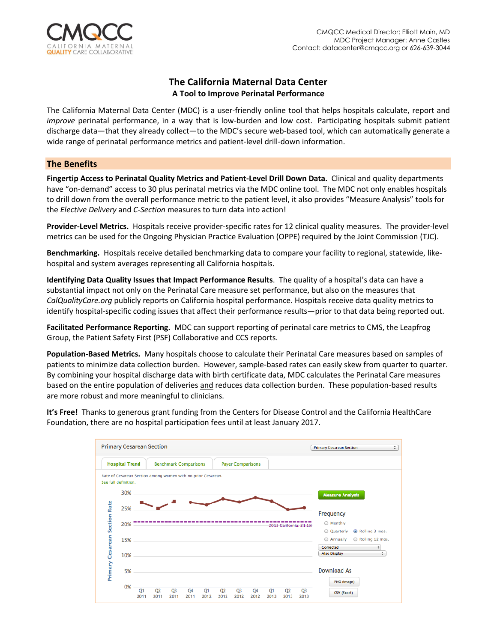# **The California Maternal Data Center A Tool to Improve Perinatal Performance**

The California Maternal Data Center (MDC) is a user-friendly online tool that helps hospitals calculate, report and *improve* perinatal performance, in a way that is low-burden and low cost. Participating hospitals submit patient discharge data—that they already collect—to the MDC's secure web-based tool, which can automatically generate a wide range of perinatal performance metrics and patient-level drill-down information.

## **The Benefits**

**Fingertip Access to Perinatal Quality Metrics and Patient-Level Drill Down Data.** Clinical and quality departments have "on-demand" access to 30 plus perinatal metrics via the MDC online tool. The MDC not only enables hospitals to drill down from the overall performance metric to the patient level, it also provides "Measure Analysis" tools for the *Elective Delivery* and *C-Section* measures to turn data into action!

**Provider-Level Metrics.** Hospitals receive provider-specific rates for 12 clinical quality measures. The provider-level metrics can be used for the Ongoing Physician Practice Evaluation (OPPE) required by the Joint Commission (TJC).

**Benchmarking.** Hospitals receive detailed benchmarking data to compare your facility to regional, statewide, likehospital and system averages representing all California hospitals.

**Identifying Data Quality Issues that Impact Performance Results**. The quality of a hospital's data can have a substantial impact not only on the Perinatal Care measure set performance, but also on the measures that *CalQualityCare.org* publicly reports on California hospital performance. Hospitals receive data quality metrics to identify hospital-specific coding issues that affect their performance results—prior to that data being reported out.

**Facilitated Performance Reporting.** MDC can support reporting of perinatal care metrics to CMS, the Leapfrog Group, the Patient Safety First (PSF) Collaborative and CCS reports.

**Population-Based Metrics.** Many hospitals choose to calculate their Perinatal Care measures based on samples of patients to minimize data collection burden. However, sample-based rates can easily skew from quarter to quarter. By combining your hospital discharge data with birth certificate data, MDC calculates the Perinatal Care measures based on the entire population of deliveries and reduces data collection burden. These population-based results are more robust and more meaningful to clinicians.

**It's Free!** Thanks to generous grant funding from the Centers for Disease Control and the California HealthCare Foundation, there are no hospital participation fees until at least January 2017.